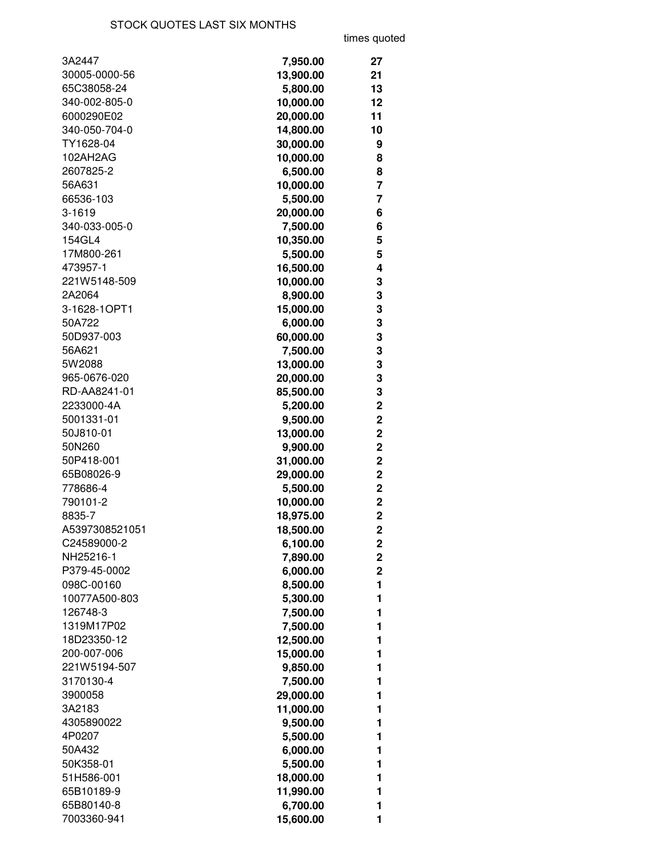times quoted

| 3A2447         | 7,950.00  | 27                      |
|----------------|-----------|-------------------------|
| 30005-0000-56  | 13,900.00 | 21                      |
| 65C38058-24    | 5,800.00  | 13                      |
| 340-002-805-0  | 10,000.00 | 12                      |
| 6000290E02     | 20,000.00 | 11                      |
| 340-050-704-0  | 14,800.00 | 10                      |
| TY1628-04      | 30,000.00 | 9                       |
| 102AH2AG       | 10,000.00 | 8                       |
| 2607825-2      | 6,500.00  | 8                       |
| 56A631         | 10,000.00 | 7                       |
| 66536-103      | 5,500.00  | 7                       |
| 3-1619         | 20,000.00 | 6                       |
| 340-033-005-0  | 7,500.00  | 6                       |
| 154GL4         | 10,350.00 | 5                       |
| 17M800-261     | 5,500.00  | 5                       |
| 473957-1       | 16,500.00 | 4                       |
| 221W5148-509   | 10,000.00 | 3                       |
| 2A2064         | 8,900.00  | 3                       |
| 3-1628-1OPT1   | 15,000.00 | 3                       |
| 50A722         | 6,000.00  | 3                       |
| 50D937-003     | 60,000.00 | 3                       |
| 56A621         | 7,500.00  | 3                       |
| 5W2088         | 13,000.00 | 3                       |
| 965-0676-020   | 20,000.00 | 3                       |
| RD-AA8241-01   | 85,500.00 | 3                       |
| 2233000-4A     | 5,200.00  | $\mathbf 2$             |
| 5001331-01     | 9,500.00  | $\mathbf 2$             |
| 50J810-01      | 13,000.00 | $\overline{2}$          |
| 50N260         | 9,900.00  | $\overline{2}$          |
| 50P418-001     | 31,000.00 | $\mathbf 2$             |
| 65B08026-9     | 29,000.00 | $\mathbf 2$             |
| 778686-4       | 5,500.00  | $\overline{2}$          |
| 790101-2       | 10,000.00 | $\overline{2}$          |
| 8835-7         | 18,975.00 | $\overline{2}$          |
| A5397308521051 | 18,500.00 | $\overline{2}$          |
| C24589000-2    | 6,100.00  | 2                       |
| NH25216-1      | 7,890.00  | $\overline{\mathbf{c}}$ |
| P379-45-0002   | 6,000.00  | $\mathbf 2$             |
| 098C-00160     | 8,500.00  | 1                       |
| 10077A500-803  | 5,300.00  | 1                       |
| 126748-3       | 7,500.00  | 1                       |
| 1319M17P02     | 7,500.00  | 1                       |
| 18D23350-12    | 12,500.00 | 1                       |
| 200-007-006    | 15,000.00 | 1                       |
| 221W5194-507   | 9,850.00  | 1                       |
| 3170130-4      | 7,500.00  | 1                       |
| 3900058        | 29,000.00 | 1                       |
| 3A2183         | 11,000.00 | 1                       |
| 4305890022     | 9,500.00  | 1                       |
| 4P0207         | 5,500.00  | 1                       |
| 50A432         | 6,000.00  | 1                       |
| 50K358-01      | 5,500.00  | 1                       |
| 51H586-001     | 18,000.00 | 1                       |
| 65B10189-9     | 11,990.00 | 1                       |
| 65B80140-8     | 6,700.00  | 1                       |
| 7003360-941    | 15,600.00 | 1                       |
|                |           |                         |